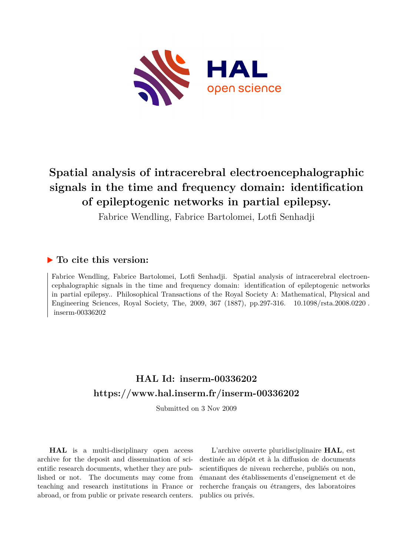

# **Spatial analysis of intracerebral electroencephalographic signals in the time and frequency domain: identification of epileptogenic networks in partial epilepsy.**

Fabrice Wendling, Fabrice Bartolomei, Lotfi Senhadji

## **To cite this version:**

Fabrice Wendling, Fabrice Bartolomei, Lotfi Senhadji. Spatial analysis of intracerebral electroencephalographic signals in the time and frequency domain: identification of epileptogenic networks in partial epilepsy.. Philosophical Transactions of the Royal Society A: Mathematical, Physical and Engineering Sciences, Royal Society, The, 2009, 367 (1887), pp.297-316.  $10.1098/\text{rsta}.2008.0220$ .  $inserm-00336202$ 

## **HAL Id: inserm-00336202 <https://www.hal.inserm.fr/inserm-00336202>**

Submitted on 3 Nov 2009

**HAL** is a multi-disciplinary open access archive for the deposit and dissemination of scientific research documents, whether they are published or not. The documents may come from teaching and research institutions in France or abroad, or from public or private research centers.

L'archive ouverte pluridisciplinaire **HAL**, est destinée au dépôt et à la diffusion de documents scientifiques de niveau recherche, publiés ou non, émanant des établissements d'enseignement et de recherche français ou étrangers, des laboratoires publics ou privés.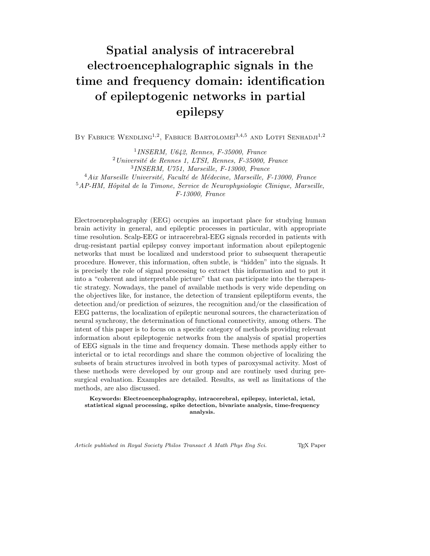# **Spatial analysis of intracerebral electroencephalographic signals in the time and frequency domain: identification of epileptogenic networks in partial epilepsy**

BY FABRICE WENDLING<sup>1,2</sup>, FABRICE BARTOLOMEI<sup>3,4,5</sup> AND LOTFI SENHADJI<sup>1,2</sup>

*INSERM, U642, Rennes, F-35000, France Universit´e de Rennes 1, LTSI, Rennes, F-35000, France INSERM, U751, Marseille, F-13000, France* <sup>4</sup> Aix Marseille Université, Faculté de Médecine, Marseille, F-13000, France *AP-HM, Hˆopital de la Timone, Service de Neurophysiologie Clinique, Marseille, F-13000, France*

Electroencephalography (EEG) occupies an important place for studying human brain activity in general, and epileptic processes in particular, with appropriate time resolution. Scalp-EEG or intracerebral-EEG signals recorded in patients with drug-resistant partial epilepsy convey important information about epileptogenic networks that must be localized and understood prior to subsequent therapeutic procedure. However, this information, often subtle, is "hidden" into the signals. It is precisely the role of signal processing to extract this information and to put it into a "coherent and interpretable picture" that can participate into the therapeutic strategy. Nowadays, the panel of available methods is very wide depending on the objectives like, for instance, the detection of transient epileptiform events, the detection and/or prediction of seizures, the recognition and/or the classification of EEG patterns, the localization of epileptic neuronal sources, the characterization of neural synchrony, the determination of functional connectivity, among others. The intent of this paper is to focus on a specific category of methods providing relevant information about epileptogenic networks from the analysis of spatial properties of EEG signals in the time and frequency domain. These methods apply either to interictal or to ictal recordings and share the common objective of localizing the subsets of brain structures involved in both types of paroxysmal activity. Most of these methods were developed by our group and are routinely used during presurgical evaluation. Examples are detailed. Results, as well as limitations of the methods, are also discussed.

**Keywords: Electroencephalography, intracerebral, epilepsy, interictal, ictal, statistical signal processing, spike detection, bivariate analysis, time-frequency analysis.**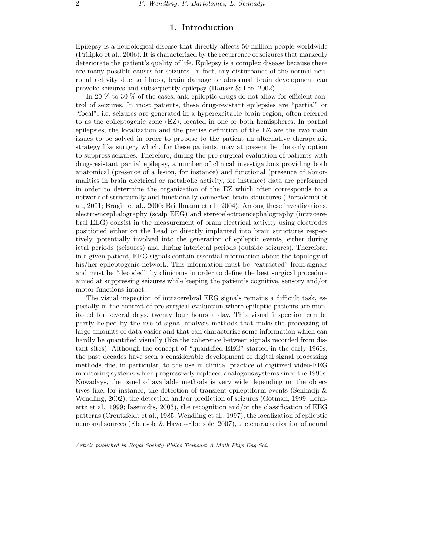## **1. Introduction**

Epilepsy is a neurological disease that directly affects 50 million people worldwide (Prilipko et al., 2006). It is characterized by the recurrence of seizures that markedly deteriorate the patient's quality of life. Epilepsy is a complex disease because there are many possible causes for seizures. In fact, any disturbance of the normal neuronal activity due to illness, brain damage or abnormal brain development can provoke seizures and subsequently epilepsy (Hauser & Lee, 2002).

In 20 % to 30 % of the cases, anti-epileptic drugs do not allow for efficient control of seizures. In most patients, these drug-resistant epilepsies are "partial" or "focal", i.e. seizures are generated in a hyperexcitable brain region, often referred to as the epileptogenic zone (EZ), located in one or both hemispheres. In partial epilepsies, the localization and the precise definition of the EZ are the two main issues to be solved in order to propose to the patient an alternative therapeutic strategy like surgery which, for these patients, may at present be the only option to suppress seizures. Therefore, during the pre-surgical evaluation of patients with drug-resistant partial epilepsy, a number of clinical investigations providing both anatomical (presence of a lesion, for instance) and functional (presence of abnormalities in brain electrical or metabolic activity, for instance) data are performed in order to determine the organization of the EZ which often corresponds to a network of structurally and functionally connected brain structures (Bartolomei et al., 2001; Bragin et al., 2000; Briellmann et al., 2004). Among these investigations, electroencephalography (scalp EEG) and stereoelectroencephalography (intracerebral EEG) consist in the measurement of brain electrical activity using electrodes positioned either on the head or directly implanted into brain structures respectively, potentially involved into the generation of epileptic events, either during ictal periods (seizures) and during interictal periods (outside seizures). Therefore, in a given patient, EEG signals contain essential information about the topology of his/her epileptogenic network. This information must be "extracted" from signals and must be "decoded" by clinicians in order to define the best surgical procedure aimed at suppressing seizures while keeping the patient's cognitive, sensory and/or motor functions intact.

The visual inspection of intracerebral EEG signals remains a difficult task, especially in the context of pre-surgical evaluation where epileptic patients are monitored for several days, twenty four hours a day. This visual inspection can be partly helped by the use of signal analysis methods that make the processing of large amounts of data easier and that can characterize some information which can hardly be quantified visually (like the coherence between signals recorded from distant sites). Although the concept of "quantified EEG" started in the early 1960s, the past decades have seen a considerable development of digital signal processing methods due, in particular, to the use in clinical practice of digitized video-EEG monitoring systems which progressively replaced analogous systems since the 1990s. Nowadays, the panel of available methods is very wide depending on the objectives like, for instance, the detection of transient epileptiform events (Senhadji & Wendling, 2002), the detection and/or prediction of seizures (Gotman, 1999; Lehnertz et al., 1999; Iasemidis, 2003), the recognition and/or the classification of EEG patterns (Creutzfeldt et al., 1985; Wendling et al., 1997), the localization of epileptic neuronal sources (Ebersole & Hawes-Ebersole, 2007), the characterization of neural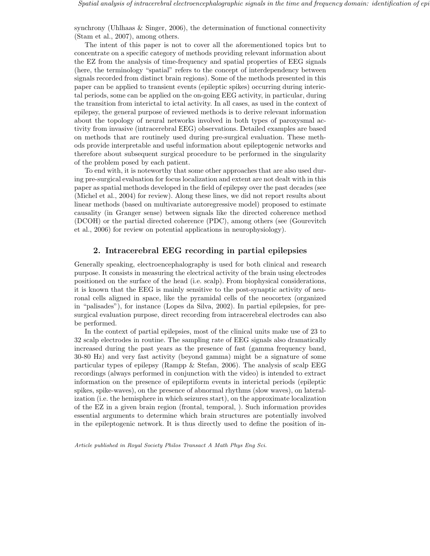synchrony (Uhlhaas & Singer, 2006), the determination of functional connectivity (Stam et al., 2007), among others.

The intent of this paper is not to cover all the aforementioned topics but to concentrate on a specific category of methods providing relevant information about the EZ from the analysis of time-frequency and spatial properties of EEG signals (here, the terminology "spatial" refers to the concept of interdependency between signals recorded from distinct brain regions). Some of the methods presented in this paper can be applied to transient events (epileptic spikes) occurring during interictal periods, some can be applied on the on-going EEG activity, in particular, during the transition from interictal to ictal activity. In all cases, as used in the context of epilepsy, the general purpose of reviewed methods is to derive relevant information about the topology of neural networks involved in both types of paroxysmal activity from invasive (intracerebral EEG) observations. Detailed examples are based on methods that are routinely used during pre-surgical evaluation. These methods provide interpretable and useful information about epileptogenic networks and therefore about subsequent surgical procedure to be performed in the singularity of the problem posed by each patient.

To end with, it is noteworthy that some other approaches that are also used during pre-surgical evaluation for focus localization and extent are not dealt with in this paper as spatial methods developed in the field of epilepsy over the past decades (see (Michel et al., 2004) for review). Along these lines, we did not report results about linear methods (based on multivariate autoregressive model) proposed to estimate causality (in Granger sense) between signals like the directed coherence method (DCOH) or the partial directed coherence (PDC), among others (see (Gourevitch et al., 2006) for review on potential applications in neurophysiology).

## **2. Intracerebral EEG recording in partial epilepsies**

Generally speaking, electroencephalography is used for both clinical and research purpose. It consists in measuring the electrical activity of the brain using electrodes positioned on the surface of the head (i.e. scalp). From biophysical considerations, it is known that the EEG is mainly sensitive to the post-synaptic activity of neuronal cells aligned in space, like the pyramidal cells of the neocortex (organized in "palisades"), for instance (Lopes da Silva, 2002). In partial epilepsies, for presurgical evaluation purpose, direct recording from intracerebral electrodes can also be performed.

In the context of partial epilepsies, most of the clinical units make use of 23 to 32 scalp electrodes in routine. The sampling rate of EEG signals also dramatically increased during the past years as the presence of fast (gamma frequency band, 30-80 Hz) and very fast activity (beyond gamma) might be a signature of some particular types of epilepsy (Rampp & Stefan, 2006). The analysis of scalp EEG recordings (always performed in conjunction with the video) is intended to extract information on the presence of epileptiform events in interictal periods (epileptic spikes, spike-waves), on the presence of abnormal rhythms (slow waves), on lateralization (i.e. the hemisphere in which seizures start), on the approximate localization of the EZ in a given brain region (frontal, temporal, ). Such information provides essential arguments to determine which brain structures are potentially involved in the epileptogenic network. It is thus directly used to define the position of in-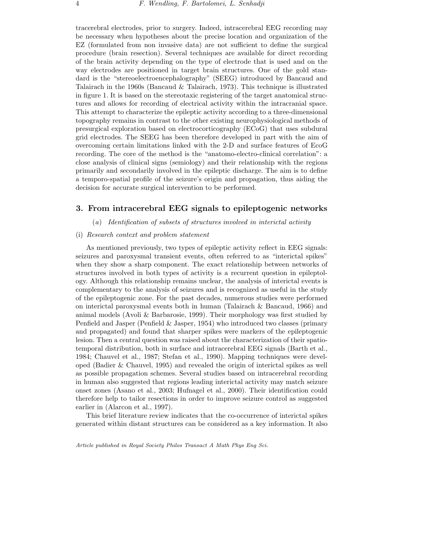tracerebral electrodes, prior to surgery. Indeed, intracerebral EEG recording may be necessary when hypotheses about the precise location and organization of the EZ (formulated from non invasive data) are not sufficient to define the surgical procedure (brain resection). Several techniques are available for direct recording of the brain activity depending on the type of electrode that is used and on the way electrodes are positioned in target brain structures. One of the gold standard is the "stereoelectroencephalography" (SEEG) introduced by Bancaud and Talairach in the 1960s (Bancaud & Talairach, 1973). This technique is illustrated in figure 1. It is based on the stereotaxic registering of the target anatomical structures and allows for recording of electrical activity within the intracranial space. This attempt to characterize the epileptic activity according to a three-dimensional topography remains in contrast to the other existing neurophysiological methods of presurgical exploration based on electrocorticography (ECoG) that uses subdural grid electrodes. The SEEG has been therefore developed in part with the aim of overcoming certain limitations linked with the 2-D and surface features of EcoG recording. The core of the method is the "anatomo-electro-clinical correlation": a close analysis of clinical signs (semiology) and their relationship with the regions primarily and secondarily involved in the epileptic discharge. The aim is to define a temporo-spatial profile of the seizure's origin and propagation, thus aiding the

## **3. From intracerebral EEG signals to epileptogenic networks**

(*a*) *Identification of subsets of structures involved in interictal activity*

## (i) *Research context and problem statement*

decision for accurate surgical intervention to be performed.

As mentioned previously, two types of epileptic activity reflect in EEG signals: seizures and paroxysmal transient events, often referred to as "interictal spikes" when they show a sharp component. The exact relationship between networks of structures involved in both types of activity is a recurrent question in epileptology. Although this relationship remains unclear, the analysis of interictal events is complementary to the analysis of seizures and is recognized as useful in the study of the epileptogenic zone. For the past decades, numerous studies were performed on interictal paroxysmal events both in human (Talairach & Bancaud, 1966) and animal models (Avoli & Barbarosie, 1999). Their morphology was first studied by Penfield and Jasper (Penfield & Jasper, 1954) who introduced two classes (primary and propagated) and found that sharper spikes were markers of the epileptogenic lesion. Then a central question was raised about the characterization of their spatiotemporal distribution, both in surface and intracerebral EEG signals (Barth et al., 1984; Chauvel et al., 1987; Stefan et al., 1990). Mapping techniques were developed (Badier & Chauvel, 1995) and revealed the origin of interictal spikes as well as possible propagation schemes. Several studies based on intracerebral recording in human also suggested that regions leading interictal activity may match seizure onset zones (Asano et al., 2003; Hufnagel et al., 2000). Their identification could therefore help to tailor resections in order to improve seizure control as suggested earlier in (Alarcon et al., 1997).

This brief literature review indicates that the co-occurrence of interictal spikes generated within distant structures can be considered as a key information. It also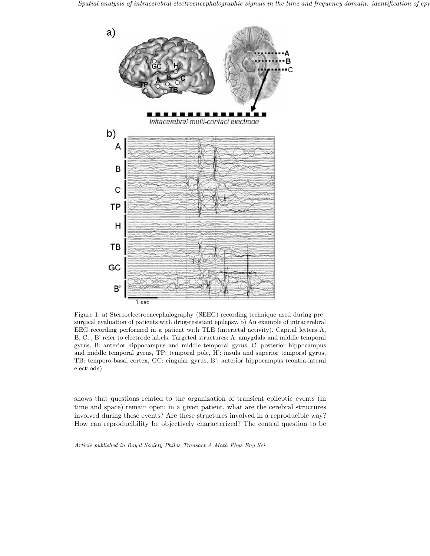

Figure 1. a) Stereoelectroencephalography (SEEG) recording technique used during pre– surgical evaluation of patients with drug-resistant epilepsy. b) An example of intracerebral EEG recording performed in a patient with TLE (interictal activity). Capital letters A, B, C, , B' refer to electrode labels. Targeted structures: A: amygdala and middle temporal gyrus, B: anterior hippocampus and middle temporal gyrus, C: posterior hippocampus and middle temporal gyrus, TP: temporal pole, H': insula and superior temporal gyrus, TB: temporo-basal cortex, GC: cingular gyrus, B': anterior hippocampus (contra-lateral electrode)

shows that questions related to the organization of transient epileptic events (in time and space) remain open: in a given patient, what are the cerebral structures involved during these events? Are these structures involved in a reproducible way? How can reproducibility be objectively characterized? The central question to be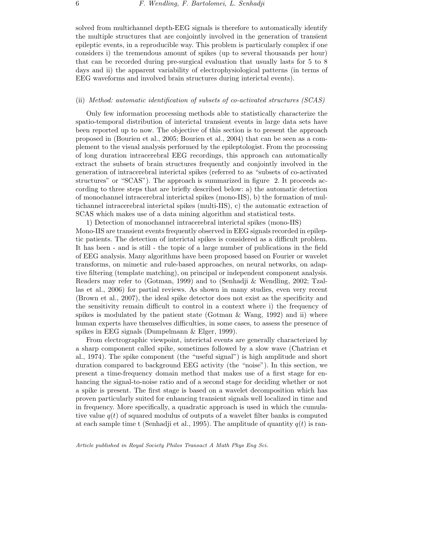solved from multichannel depth-EEG signals is therefore to automatically identify the multiple structures that are conjointly involved in the generation of transient epileptic events, in a reproducible way. This problem is particularly complex if one considers i) the tremendous amount of spikes (up to several thousands per hour) that can be recorded during pre-surgical evaluation that usually lasts for 5 to 8 days and ii) the apparent variability of electrophysiological patterns (in terms of EEG waveforms and involved brain structures during interictal events).

## (ii) *Method: automatic identification of subsets of co-activated structures (SCAS)*

Only few information processing methods able to statistically characterize the spatio-temporal distribution of interictal transient events in large data sets have been reported up to now. The objective of this section is to present the approach proposed in (Bourien et al., 2005; Bourien et al., 2004) that can be seen as a complement to the visual analysis performed by the epileptologist. From the processing of long duration intracerebral EEG recordings, this approach can automatically extract the subsets of brain structures frequently and conjointly involved in the generation of intracerebral interictal spikes (referred to as "subsets of co-activated structures" or "SCAS"). The approach is summarized in figure 2. It proceeds according to three steps that are briefly described below: a) the automatic detection of monochannel intracerebral interictal spikes (mono-IIS), b) the formation of multichannel intracerebral interictal spikes (multi-IIS), c) the automatic extraction of SCAS which makes use of a data mining algorithm and statistical tests.

1) Detection of monochannel intracerebral interictal spikes (mono-IIS) Mono-IIS are transient events frequently observed in EEG signals recorded in epileptic patients. The detection of interictal spikes is considered as a difficult problem. It has been - and is still - the topic of a large number of publications in the field of EEG analysis. Many algorithms have been proposed based on Fourier or wavelet transforms, on mimetic and rule-based approaches, on neural networks, on adaptive filtering (template matching), on principal or independent component analysis. Readers may refer to (Gotman, 1999) and to (Senhadji & Wendling, 2002; Tzallas et al., 2006) for partial reviews. As shown in many studies, even very recent (Brown et al., 2007), the ideal spike detector does not exist as the specificity and the sensitivity remain difficult to control in a context where i) the frequency of spikes is modulated by the patient state (Gotman  $\&$  Wang, 1992) and ii) where human experts have themselves difficulties, in some cases, to assess the presence of spikes in EEG signals (Dumpelmann & Elger, 1999).

From electrographic viewpoint, interictal events are generally characterized by a sharp component called spike, sometimes followed by a slow wave (Chatrian et al., 1974). The spike component (the "useful signal") is high amplitude and short duration compared to background EEG activity (the "noise"). In this section, we present a time-frequency domain method that makes use of a first stage for enhancing the signal-to-noise ratio and of a second stage for deciding whether or not a spike is present. The first stage is based on a wavelet decomposition which has proven particularly suited for enhancing transient signals well localized in time and in frequency. More specifically, a quadratic approach is used in which the cumulative value  $q(t)$  of squared modulus of outputs of a wavelet filter banks is computed at each sample time t (Senhadji et al., 1995). The amplitude of quantity  $q(t)$  is ran-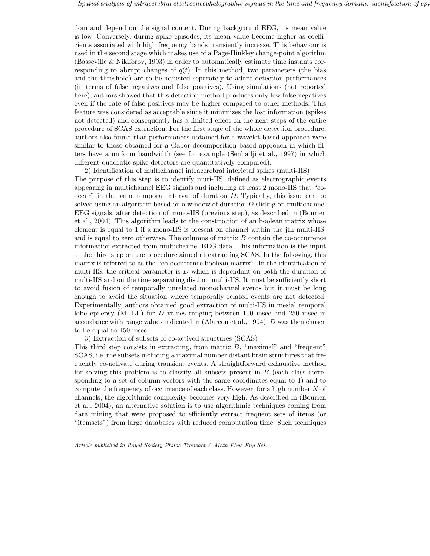dom and depend on the signal content. During background EEG, its mean value is low. Conversely, during spike episodes, its mean value become higher as coefficients associated with high frequency bands transiently increase. This behaviour is used in the second stage which makes use of a Page-Hinkley change-point algorithm (Basseville & Nikiforov, 1993) in order to automatically estimate time instants corresponding to abrupt changes of  $q(t)$ . In this method, two parameters (the bias and the threshold) are to be adjusted separately to adapt detection performances (in terms of false negatives and false positives). Using simulations (not reported here), authors showed that this detection method produces only few false negatives even if the rate of false positives may be higher compared to other methods. This feature was considered as acceptable since it minimizes the lost information (spikes not detected) and consequently has a limited effect on the next steps of the entire procedure of SCAS extraction. For the first stage of the whole detection procedure, authors also found that performances obtained for a wavelet based approach were similar to those obtained for a Gabor decomposition based approach in which filters have a uniform bandwidth (see for example (Senhadji et al., 1997) in which different quadratic spike detectors are quantitatively compared).

2) Identification of multichannel intracerebral interictal spikes (multi-IIS) The purpose of this step is to identify muti-IIS, defined as electrographic events appearing in multichannel EEG signals and including at least 2 mono-IIS that "co- $\alpha$  occur" in the same temporal interval of duration D. Typically, this issue can be solved using an algorithm based on a window of duration  $D$  sliding on multichannel EEG signals, after detection of mono-IIS (previous step), as described in (Bourien et al., 2004). This algorithm leads to the construction of an boolean matrix whose element is equal to 1 if a mono-IIS is present on channel within the jth multi-IIS, and is equal to zero otherwise. The columns of matrix B contain the co-occurrence information extracted from multichannel EEG data. This information is the input of the third step on the procedure aimed at extracting SCAS. In the following, this matrix is referred to as the "co-occurrence boolean matrix". In the identification of multi-IIS, the critical parameter is  $D$  which is dependant on both the duration of multi-IIS and on the time separating distinct multi-IIS. It must be sufficiently short to avoid fusion of temporally unrelated monochannel events but it must be long enough to avoid the situation where temporally related events are not detected. Experimentally, authors obtained good extraction of multi-IIS in mesial temporal lobe epilepsy (MTLE) for D values ranging between 100 msec and 250 msec in accordance with range values indicated in (Alarcon et al., 1994). D was then chosen to be equal to 150 msec.

3) Extraction of subsets of co-actived structures (SCAS)

This third step consists in extracting, from matrix  $B$ , "maximal" and "frequent" SCAS, i.e. the subsets including a maximal number distant brain structures that frequently co-activate during transient events. A straightforward exhaustive method for solving this problem is to classify all subsets present in  $B$  (each class corresponding to a set of column vectors with the same coordinates equal to 1) and to compute the frequency of occurrence of each class. However, for a high number N of channels, the algorithmic complexity becomes very high. As described in (Bourien et al., 2004), an alternative solution is to use algorithmic techniques coming from data mining that were proposed to efficiently extract frequent sets of items (or "itemsets") from large databases with reduced computation time. Such techniques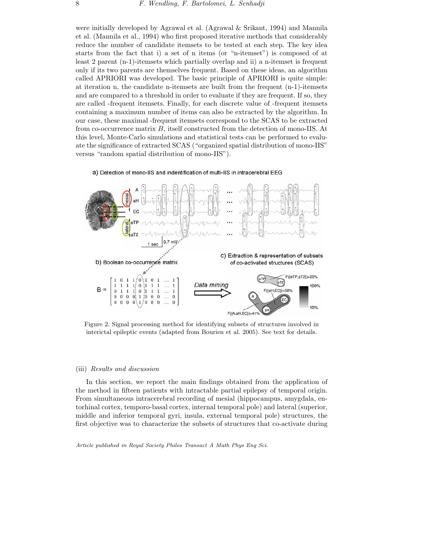were initially developed by Agrawal et al. (Agrawal & Srikant, 1994) and Mannila et al. (Mannila et al., 1994) who first proposed iterative methods that considerably reduce the number of candidate itemsets to be tested at each step. The key idea starts from the fact that i) a set of n items (or "n-itemset") is composed of at least 2 parent (n-1)-itemsets which partially overlap and ii) a n-itemset is frequent only if its two parents are themselves frequent. Based on these ideas, an algorithm called APRIORI was developed. The basic principle of APRIORI is quite simple: at iteration n, the candidate n-itemsets are built from the frequent (n-1)-itemsets and are compared to a threshold in order to evaluate if they are frequent. If so, they are called -frequent itemsets. Finally, for each discrete value of -frequent itemsets containing a maximum number of items can also be extracted by the algorithm. In our case, these maximal -frequent itemsets correspond to the SCAS to be extracted from co-occurrence matrix B, itself constructed from the detection of mono-IIS. At this level, Monte-Carlo simulations and statistical tests can be performed to evaluate the significance of extracted SCAS ("organized spatial distribution of mono-IIS" versus "random spatial distribution of mono-IIS").

#### a) Detection of mono-IIS and indentification of multi-IIS in intracerebral EEG



Figure 2. Signal processing method for identifying subsets of structures involved in interictal epileptic events (adapted from Bourien et al. 2005). See text for details.

#### (iii) *Results and discussion*

In this section, we report the main findings obtained from the application of the method in fifteen patients with intractable partial epilepsy of temporal origin. From simultaneous intracerebral recording of mesial (hippocampus, amygdala, entorhinal cortex, temporo-basal cortex, internal temporal pole) and lateral (superior, middle and inferior temporal gyri, insula, external temporal pole) structures, the first objective was to characterize the subsets of structures that co-activate during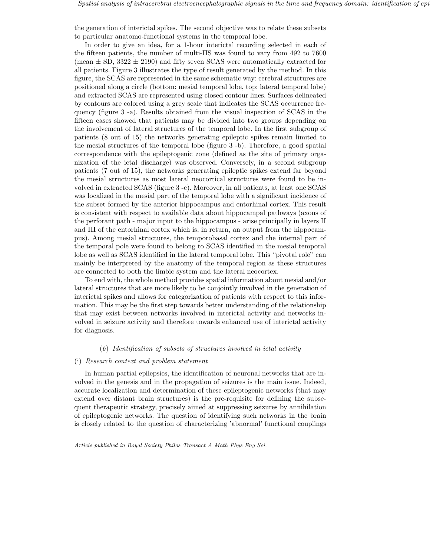the generation of interictal spikes. The second objective was to relate these subsets to particular anatomo-functional systems in the temporal lobe.

In order to give an idea, for a 1-hour interictal recording selected in each of the fifteen patients, the number of multi-IIS was found to vary from 492 to 7600 (mean  $\pm$  SD, 3322  $\pm$  2190) and fifty seven SCAS were automatically extracted for all patients. Figure 3 illustrates the type of result generated by the method. In this figure, the SCAS are represented in the same schematic way: cerebral structures are positioned along a circle (bottom: mesial temporal lobe, top: lateral temporal lobe) and extracted SCAS are represented using closed contour lines. Surfaces delineated by contours are colored using a grey scale that indicates the SCAS occurrence frequency (figure 3 -a). Results obtained from the visual inspection of SCAS in the fifteen cases showed that patients may be divided into two groups depending on the involvement of lateral structures of the temporal lobe. In the first subgroup of patients (8 out of 15) the networks generating epileptic spikes remain limited to the mesial structures of the temporal lobe (figure 3 -b). Therefore, a good spatial correspondence with the epileptogenic zone (defined as the site of primary organization of the ictal discharge) was observed. Conversely, in a second subgroup patients (7 out of 15), the networks generating epileptic spikes extend far beyond the mesial structures as most lateral neocortical structures were found to be involved in extracted SCAS (figure 3 -c). Moreover, in all patients, at least one SCAS was localized in the mesial part of the temporal lobe with a significant incidence of the subset formed by the anterior hippocampus and entorhinal cortex. This result is consistent with respect to available data about hippocampal pathways (axons of the perforant path - major input to the hippocampus - arise principally in layers II and III of the entorhinal cortex which is, in return, an output from the hippocampus). Among mesial structures, the temporobasal cortex and the internal part of the temporal pole were found to belong to SCAS identified in the mesial temporal lobe as well as SCAS identified in the lateral temporal lobe. This "pivotal role" can mainly be interpreted by the anatomy of the temporal region as these structures are connected to both the limbic system and the lateral neocortex.

To end with, the whole method provides spatial information about mesial and/or lateral structures that are more likely to be conjointly involved in the generation of interictal spikes and allows for categorization of patients with respect to this information. This may be the first step towards better understanding of the relationship that may exist between networks involved in interictal activity and networks involved in seizure activity and therefore towards enhanced use of interictal activity for diagnosis.

## (*b*) *Identification of subsets of structures involved in ictal activity*

#### (i) *Research context and problem statement*

In human partial epilepsies, the identification of neuronal networks that are involved in the genesis and in the propagation of seizures is the main issue. Indeed, accurate localization and determination of these epileptogenic networks (that may extend over distant brain structures) is the pre-requisite for defining the subsequent therapeutic strategy, precisely aimed at suppressing seizures by annihilation of epileptogenic networks. The question of identifying such networks in the brain is closely related to the question of characterizing 'abnormal' functional couplings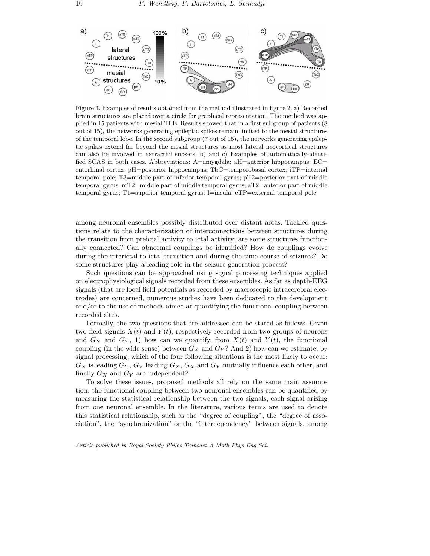

Figure 3. Examples of results obtained from the method illustrated in figure 2. a) Recorded brain structures are placed over a circle for graphical representation. The method was applied in 15 patients with mesial TLE. Results showed that in a first subgroup of patients (8 out of 15), the networks generating epileptic spikes remain limited to the mesial structures of the temporal lobe. In the second subgroup (7 out of 15), the networks generating epileptic spikes extend far beyond the mesial structures as most lateral neocortical structures can also be involved in extracted subsets. b) and c) Examples of automatically-identified SCAS in both cases. Abbreviations: A=amygdala; aH=anterior hippocampus; EC= entorhinal cortex; pH=posterior hippocampus; TbC=temporobasal cortex; iTP=internal temporal pole; T3=middle part of inferior temporal gyrus; pT2=posterior part of middle temporal gyrus; mT2=middle part of middle temporal gyrus; aT2=anterior part of middle temporal gyrus; T1=superior temporal gyrus; I=insula; eTP=external temporal pole.

among neuronal ensembles possibly distributed over distant areas. Tackled questions relate to the characterization of interconnections between structures during the transition from preictal activity to ictal activity: are some structures functionally connected? Can abnormal couplings be identified? How do couplings evolve during the interictal to ictal transition and during the time course of seizures? Do some structures play a leading role in the seizure generation process?

Such questions can be approached using signal processing techniques applied on electrophysiological signals recorded from these ensembles. As far as depth-EEG signals (that are local field potentials as recorded by macroscopic intracerebral electrodes) are concerned, numerous studies have been dedicated to the development and/or to the use of methods aimed at quantifying the functional coupling between recorded sites.

Formally, the two questions that are addressed can be stated as follows. Given two field signals  $X(t)$  and  $Y(t)$ , respectively recorded from two groups of neurons and  $G_X$  and  $G_Y$ , 1) how can we quantify, from  $X(t)$  and  $Y(t)$ , the functional coupling (in the wide sense) between  $G_X$  and  $G_Y$ ? And 2) how can we estimate, by signal processing, which of the four following situations is the most likely to occur:  $G_X$  is leading  $G_Y, G_Y$  leading  $G_X, G_X$  and  $G_Y$  mutually influence each other, and finally  $G_X$  and  $G_Y$  are independent?

To solve these issues, proposed methods all rely on the same main assumption: the functional coupling between two neuronal ensembles can be quantified by measuring the statistical relationship between the two signals, each signal arising from one neuronal ensemble. In the literature, various terms are used to denote this statistical relationship, such as the "degree of coupling", the "degree of association", the "synchronization" or the "interdependency" between signals, among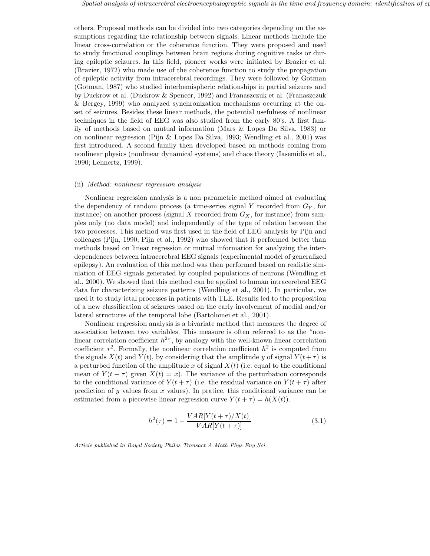others. Proposed methods can be divided into two categories depending on the assumptions regarding the relationship between signals. Linear methods include the linear cross-correlation or the coherence function. They were proposed and used to study functional couplings between brain regions during cognitive tasks or during epileptic seizures. In this field, pioneer works were initiated by Brazier et al. (Brazier, 1972) who made use of the coherence function to study the propagation of epileptic activity from intracerebral recordings. They were followed by Gotman (Gotman, 1987) who studied interhemispheric relationships in partial seizures and by Duckrow et al. (Duckrow & Spencer, 1992) and Franaszczuk et al. (Franaszczuk & Bergey, 1999) who analyzed synchronization mechanisms occurring at the onset of seizures. Besides these linear methods, the potential usefulness of nonlinear techniques in the field of EEG was also studied from the early 80's. A first family of methods based on mutual information (Mars & Lopes Da Silva, 1983) or on nonlinear regression (Pijn & Lopes Da Silva, 1993; Wendling et al., 2001) was first introduced. A second family then developed based on methods coming from nonlinear physics (nonlinear dynamical systems) and chaos theory (Iasemidis et al., 1990; Lehnertz, 1999).

#### (ii) *Method: nonlinear regression analysis*

Nonlinear regression analysis is a non parametric method aimed at evaluating the dependency of random process (a time-series signal Y recorded from  $G_Y$ , for instance) on another process (signal X recorded from  $G_X$ , for instance) from samples only (no data model) and independently of the type of relation between the two processes. This method was first used in the field of EEG analysis by Pijn and colleages (Pijn, 1990; Pijn et al., 1992) who showed that it performed better than methods based on linear regression or mutual information for analyzing the interdependences between intracerebral EEG signals (experimental model of generalized epilepsy). An evaluation of this method was then performed based on realistic simulation of EEG signals generated by coupled populations of neurons (Wendling et al., 2000). We showed that this method can be applied to human intracerebral EEG data for characterizing seizure patterns (Wendling et al., 2001). In particular, we used it to study ictal processes in patients with TLE. Results led to the proposition of a new classification of seizures based on the early involvement of medial and/or lateral structures of the temporal lobe (Bartolomei et al., 2001).

Nonlinear regression analysis is a bivariate method that measures the degree of association between two variables. This measure is often referred to as the "nonlinear correlation coefficient  $h^{2n}$ , by analogy with the well-known linear correlation coefficient  $r^2$ . Formally, the nonlinear correlation coefficient  $h^2$  is computed from the signals  $X(t)$  and  $Y(t)$ , by considering that the amplitude y of signal  $Y(t+\tau)$  is a perturbed function of the amplitude x of signal  $X(t)$  (i.e. equal to the conditional mean of  $Y(t + \tau)$  given  $X(t) = x$ ). The variance of the perturbation corresponds to the conditional variance of  $Y(t + \tau)$  (i.e. the residual variance on  $Y(t + \tau)$  after prediction of y values from  $x$  values). In pratice, this conditional variance can be estimated from a piecewise linear regression curve  $Y(t + \tau) = h(X(t)).$ 

$$
h^{2}(\tau) = 1 - \frac{VAR[Y(t+\tau)/X(t)]}{VAR[Y(t+\tau)]}
$$
\n(3.1)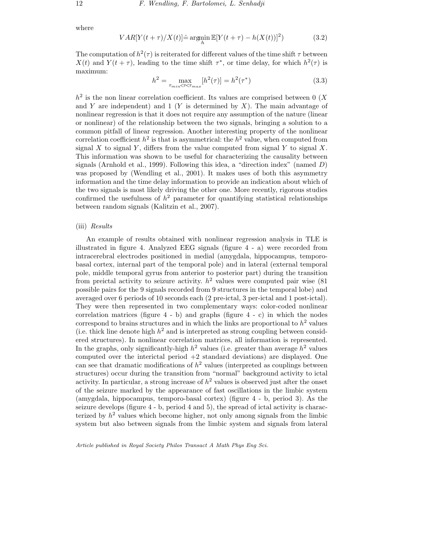where

$$
VAR[Y(t+\tau)/X(t)] \hat{=} \operatorname{argmin}_{h} \mathbb{E}[Y(t+\tau) - h(X(t))]^{2} \tag{3.2}
$$

The computation of  $h^2(\tau)$  is reiterated for different values of the time shift  $\tau$  between  $X(t)$  and  $Y(t + \tau)$ , leading to the time shift  $\tau^*$ , or time delay, for which  $h^2(\tau)$  is maximum:

$$
h^{2} = \max_{\tau_{min} < \tau < \tau_{max}} [h^{2}(\tau)] = h^{2}(\tau^{*}) \tag{3.3}
$$

 $h^2$  is the non linear correlation coefficient. Its values are comprised between 0 (X) and Y are independent) and 1 (Y is determined by  $X$ ). The main advantage of nonlinear regression is that it does not require any assumption of the nature (linear or nonlinear) of the relationship between the two signals, bringing a solution to a common pitfall of linear regression. Another interesting property of the nonlinear correlation coefficient  $h^2$  is that is asymmetrical: the  $h^2$  value, when computed from signal X to signal Y, differs from the value computed from signal Y to signal X. This information was shown to be useful for characterizing the causality between signals (Arnhold et al., 1999). Following this idea, a "direction index" (named  $D$ ) was proposed by (Wendling et al., 2001). It makes uses of both this asymmetry information and the time delay information to provide an indication about which of the two signals is most likely driving the other one. More recently, rigorous studies confirmed the usefulness of  $h^2$  parameter for quantifying statistical relationships between random signals (Kalitzin et al., 2007).

## (iii) *Results*

An example of results obtained with nonlinear regression analysis in TLE is illustrated in figure 4. Analyzed EEG signals (figure 4 - a) were recorded from intracerebral electrodes positioned in medial (amygdala, hippocampus, temporobasal cortex, internal part of the temporal pole) and in lateral (external temporal pole, middle temporal gyrus from anterior to posterior part) during the transition from preictal activity to seizure activity.  $h^2$  values were computed pair wise (81) possible pairs for the 9 signals recorded from 9 structures in the temporal lobe) and averaged over 6 periods of 10 seconds each (2 pre-ictal, 3 per-ictal and 1 post-ictal). They were then represented in two complementary ways: color-coded nonlinear correlation matrices (figure  $4 - b$ ) and graphs (figure  $4 - c$ ) in which the nodes correspond to brains structures and in which the links are proportional to  $h^2$  values (i.e. thick line denote high  $h^2$  and is interpreted as strong coupling between considered structures). In nonlinear correlation matrices, all information is represented. In the graphs, only significantly-high  $h^2$  values (i.e. greater than average  $h^2$  values computed over the interictal period  $+2$  standard deviations) are displayed. One can see that dramatic modifications of  $h^2$  values (interpreted as couplings between structures) occur during the transition from "normal" background activity to ictal activity. In particular, a strong increase of  $h^2$  values is observed just after the onset of the seizure marked by the appearance of fast oscillations in the limbic system (amygdala, hippocampus, temporo-basal cortex) (figure 4 - b, period 3). As the seizure develops (figure 4 - b, period 4 and 5), the spread of ictal activity is characterized by  $h^2$  values which become higher, not only among signals from the limbic system but also between signals from the limbic system and signals from lateral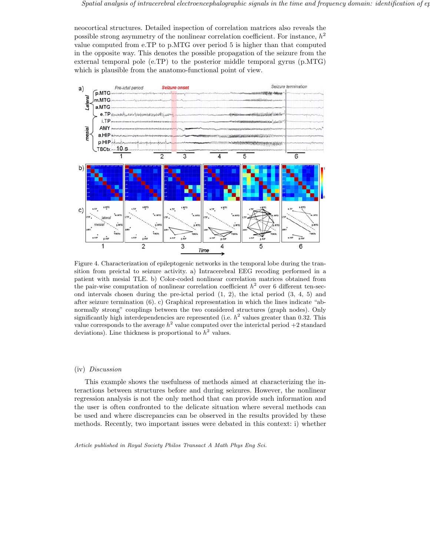neocortical structures. Detailed inspection of correlation matrices also reveals the possible strong asymmetry of the nonlinear correlation coefficient. For instance,  $h^2$ value computed from e.TP to p.MTG over period 5 is higher than that computed in the opposite way. This denotes the possible propagation of the seizure from the external temporal pole (e.TP) to the posterior middle temporal gyrus (p.MTG) which is plausible from the anatomo-functional point of view.



Figure 4. Characterization of epileptogenic networks in the temporal lobe during the transition from preictal to seizure activity. a) Intracerebral EEG recoding performed in a patient with mesial TLE. b) Color-coded nonlinear correlation matrices obtained from the pair-wise computation of nonlinear correlation coefficient  $h^2$  over 6 different ten-second intervals chosen during the pre-ictal period  $(1, 2)$ , the ictal period  $(3, 4, 5)$  and after seizure termination (6). c) Graphical representation in which the lines indicate "abnormally strong" couplings between the two considered structures (graph nodes). Only significantly high interdependencies are represented (i.e.  $h^2$  values greater than 0.32. This value corresponds to the average  $h^2$  value computed over the interictal period  $+2$  standard deviations). Line thickness is proportional to  $h^2$  values.

## (iv) *Discussion*

This example shows the usefulness of methods aimed at characterizing the interactions between structures before and during seizures. However, the nonlinear regression analysis is not the only method that can provide such information and the user is often confronted to the delicate situation where several methods can be used and where discrepancies can be observed in the results provided by these methods. Recently, two important issues were debated in this context: i) whether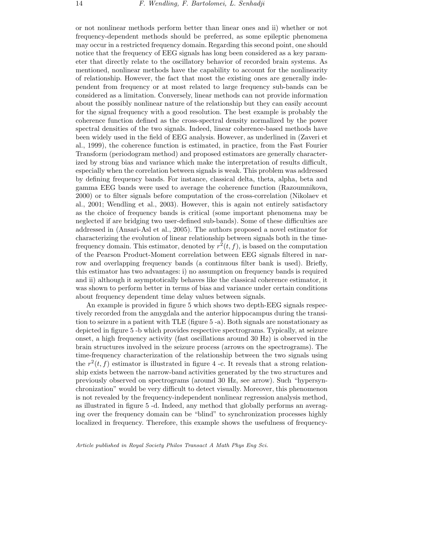or not nonlinear methods perform better than linear ones and ii) whether or not frequency-dependent methods should be preferred, as some epileptic phenomena may occur in a restricted frequency domain. Regarding this second point, one should notice that the frequency of EEG signals has long been considered as a key parameter that directly relate to the oscillatory behavior of recorded brain systems. As mentioned, nonlinear methods have the capability to account for the nonlinearity of relationship. However, the fact that most the existing ones are generally independent from frequency or at most related to large frequency sub-bands can be considered as a limitation. Conversely, linear methods can not provide information about the possibly nonlinear nature of the relationship but they can easily account for the signal frequency with a good resolution. The best example is probably the coherence function defined as the cross-spectral density normalized by the power spectral densities of the two signals. Indeed, linear coherence-based methods have been widely used in the field of EEG analysis. However, as underlined in (Zaveri et al., 1999), the coherence function is estimated, in practice, from the Fast Fourier Transform (periodogram method) and proposed estimators are generally characterized by strong bias and variance which make the interpretation of results difficult, especially when the correlation between signals is weak. This problem was addressed by defining frequency bands. For instance, classical delta, theta, alpha, beta and gamma EEG bands were used to average the coherence function (Razoumnikova, 2000) or to filter signals before computation of the cross-correlation (Nikolaev et al., 2001; Wendling et al., 2003). However, this is again not entirely satisfactory as the choice of frequency bands is critical (some important phenomena may be neglected if are bridging two user-defined sub-bands). Some of these difficulties are addressed in (Ansari-Asl et al., 2005). The authors proposed a novel estimator for characterizing the evolution of linear relationship between signals both in the timefrequency domain. This estimator, denoted by  $r^2(t, f)$ , is based on the computation of the Pearson Product-Moment correlation between EEG signals filtered in narrow and overlapping frequency bands (a continuous filter bank is used). Briefly, this estimator has two advantages: i) no assumption on frequency bands is required and ii) although it asymptotically behaves like the classical coherence estimator, it was shown to perform better in terms of bias and variance under certain conditions about frequency dependent time delay values between signals.

An example is provided in figure 5 which shows two depth-EEG signals respectively recorded from the amygdala and the anterior hippocampus during the transition to seizure in a patient with TLE (figure 5 -a). Both signals are nonstationary as depicted in figure 5 -b which provides respective spectrograms. Typically, at seizure onset, a high frequency activity (fast oscillations around 30 Hz) is observed in the brain structures involved in the seizure process (arrows on the spectrograms). The time-frequency characterization of the relationship between the two signals using the  $r^2(t, f)$  estimator is illustrated in figure 4 -c. It reveals that a strong relationship exists between the narrow-band activities generated by the two structures and previously observed on spectrograms (around 30 Hz, see arrow). Such "hypersynchronization" would be very difficult to detect visually. Moreover, this phenomenon is not revealed by the frequency-independent nonlinear regression analysis method, as illustrated in figure 5 -d. Indeed, any method that globally performs an averaging over the frequency domain can be "blind" to synchronization processes highly localized in frequency. Therefore, this example shows the usefulness of frequency-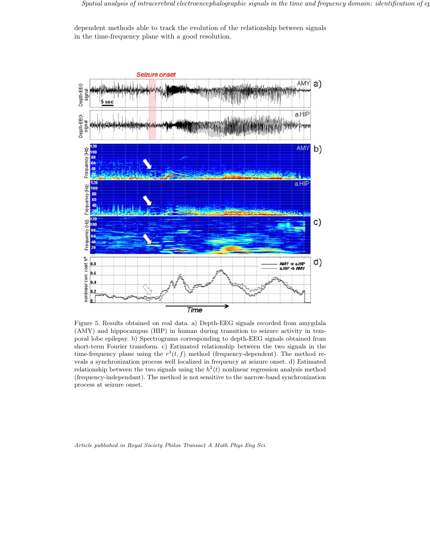dependent methods able to track the evolution of the relationship between signals in the time-frequency plane with a good resolution.



Figure 5. Results obtained on real data. a) Depth-EEG signals recorded from amygdala (AMY) and hippocampus (HIP) in human during transition to seizure activity in temporal lobe epilepsy. b) Spectrograms corresponding to depth-EEG signals obtained from short-term Fourier transform. c) Estimated relationship between the two signals in the time-frequency plane using the  $r^2(t, f)$  method (frequency-dependent). The method reveals a synchronization process well localized in frequency at seizure onset. d) Estimated relationship between the two signals using the  $h^2(t)$  nonlinear regression analysis method (frequency-independant). The method is not sensitive to the narrow-band synchronization process at seizure onset.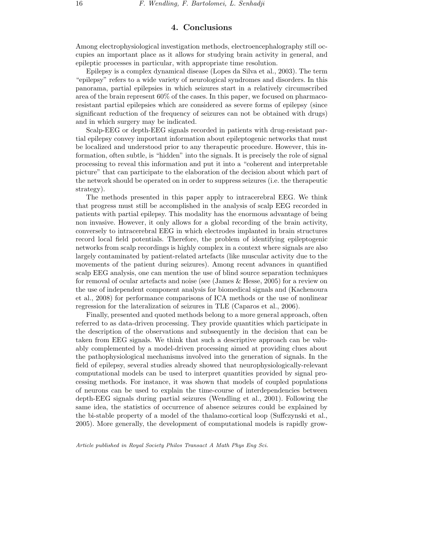## **4. Conclusions**

Among electrophysiological investigation methods, electroencephalography still occupies an important place as it allows for studying brain activity in general, and epileptic processes in particular, with appropriate time resolution.

Epilepsy is a complex dynamical disease (Lopes da Silva et al., 2003). The term "epilepsy" refers to a wide variety of neurological syndromes and disorders. In this panorama, partial epilepsies in which seizures start in a relatively circumscribed area of the brain represent 60% of the cases. In this paper, we focused on pharmacoresistant partial epilepsies which are considered as severe forms of epilepsy (since significant reduction of the frequency of seizures can not be obtained with drugs) and in which surgery may be indicated.

Scalp-EEG or depth-EEG signals recorded in patients with drug-resistant partial epilepsy convey important information about epileptogenic networks that must be localized and understood prior to any therapeutic procedure. However, this information, often subtle, is "hidden" into the signals. It is precisely the role of signal processing to reveal this information and put it into a "coherent and interpretable picture" that can participate to the elaboration of the decision about which part of the network should be operated on in order to suppress seizures (i.e. the therapeutic strategy).

The methods presented in this paper apply to intracerebral EEG. We think that progress must still be accomplished in the analysis of scalp EEG recorded in patients with partial epilepsy. This modality has the enormous advantage of being non invasive. However, it only allows for a global recording of the brain activity, conversely to intracerebral EEG in which electrodes implanted in brain structures record local field potentials. Therefore, the problem of identifying epileptogenic networks from scalp recordings is highly complex in a context where signals are also largely contaminated by patient-related artefacts (like muscular activity due to the movements of the patient during seizures). Among recent advances in quantified scalp EEG analysis, one can mention the use of blind source separation techniques for removal of ocular artefacts and noise (see (James & Hesse, 2005) for a review on the use of independent component analysis for biomedical signals and (Kachenoura et al., 2008) for performance comparisons of ICA methods or the use of nonlinear regression for the lateralization of seizures in TLE (Caparos et al., 2006).

Finally, presented and quoted methods belong to a more general approach, often referred to as data-driven processing. They provide quantities which participate in the description of the observations and subsequently in the decision that can be taken from EEG signals. We think that such a descriptive approach can be valuably complemented by a model-driven processing aimed at providing clues about the pathophysiological mechanisms involved into the generation of signals. In the field of epilepsy, several studies already showed that neurophysiologically-relevant computational models can be used to interpret quantities provided by signal processing methods. For instance, it was shown that models of coupled populations of neurons can be used to explain the time-course of interdependencies between depth-EEG signals during partial seizures (Wendling et al., 2001). Following the same idea, the statistics of occurrence of absence seizures could be explained by the bi-stable property of a model of the thalamo-cortical loop (Suffczynski et al., 2005). More generally, the development of computational models is rapidly grow-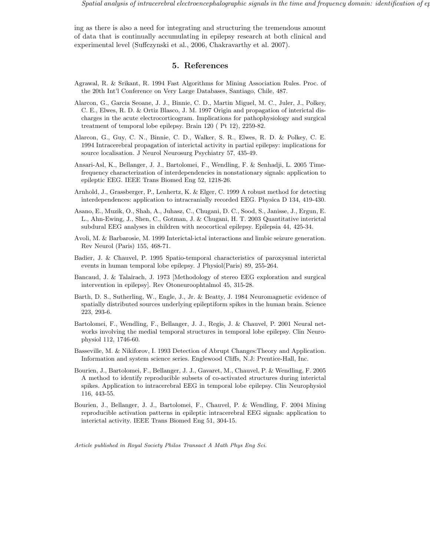ing as there is also a need for integrating and structuring the tremendous amount of data that is continually accumulating in epilepsy research at both clinical and experimental level (Suffczynski et al., 2006, Chakravarthy et al. 2007).

## **5. References**

- Agrawal, R. & Srikant, R. 1994 Fast Algorithms for Mining Association Rules. Proc. of the 20th Int'l Conference on Very Large Databases, Santiago, Chile, 487.
- Alarcon, G., Garcia Seoane, J. J., Binnie, C. D., Martin Miguel, M. C., Juler, J., Polkey, C. E., Elwes, R. D. & Ortiz Blasco, J. M. 1997 Origin and propagation of interictal discharges in the acute electrocorticogram. Implications for pathophysiology and surgical treatment of temporal lobe epilepsy. Brain 120 ( Pt 12), 2259-82.
- Alarcon, G., Guy, C. N., Binnie, C. D., Walker, S. R., Elwes, R. D. & Polkey, C. E. 1994 Intracerebral propagation of interictal activity in partial epilepsy: implications for source localisation. J Neurol Neurosurg Psychiatry 57, 435-49.
- Ansari-Asl, K., Bellanger, J. J., Bartolomei, F., Wendling, F. & Senhadji, L. 2005 Timefrequency characterization of interdependencies in nonstationary signals: application to epileptic EEG. IEEE Trans Biomed Eng 52, 1218-26.
- Arnhold, J., Grassberger, P., Lenhertz, K. & Elger, C. 1999 A robust method for detecting interdependences: application to intracranially recorded EEG. Physica D 134, 419-430.
- Asano, E., Muzik, O., Shah, A., Juhasz, C., Chugani, D. C., Sood, S., Janisse, J., Ergun, E. L., Ahn-Ewing, J., Shen, C., Gotman, J. & Chugani, H. T. 2003 Quantitative interictal subdural EEG analyses in children with neocortical epilepsy. Epilepsia 44, 425-34.
- Avoli, M. & Barbarosie, M. 1999 Interictal-ictal interactions and limbic seizure generation. Rev Neurol (Paris) 155, 468-71.
- Badier, J. & Chauvel, P. 1995 Spatio-temporal characteristics of paroxysmal interictal events in human temporal lobe epilepsy. J Physiol(Paris) 89, 255-264.
- Bancaud, J. & Talairach, J. 1973 [Methodology of stereo EEG exploration and surgical intervention in epilepsy]. Rev Otoneuroophtalmol 45, 315-28.
- Barth, D. S., Sutherling, W., Engle, J., Jr. & Beatty, J. 1984 Neuromagnetic evidence of spatially distributed sources underlying epileptiform spikes in the human brain. Science 223, 293-6.
- Bartolomei, F., Wendling, F., Bellanger, J. J., Regis, J. & Chauvel, P. 2001 Neural networks involving the medial temporal structures in temporal lobe epilepsy. Clin Neurophysiol 112, 1746-60.
- Basseville, M. & Nikiforov, I. 1993 Detection of Abrupt Changes:Theory and Application. Information and system science series. Englewood Cliffs, N.J: Prentice-Hall, Inc.
- Bourien, J., Bartolomei, F., Bellanger, J. J., Gavaret, M., Chauvel, P. & Wendling, F. 2005 A method to identify reproducible subsets of co-activated structures during interictal spikes. Application to intracerebral EEG in temporal lobe epilepsy. Clin Neurophysiol 116, 443-55.
- Bourien, J., Bellanger, J. J., Bartolomei, F., Chauvel, P. & Wendling, F. 2004 Mining reproducible activation patterns in epileptic intracerebral EEG signals: application to interictal activity. IEEE Trans Biomed Eng 51, 304-15.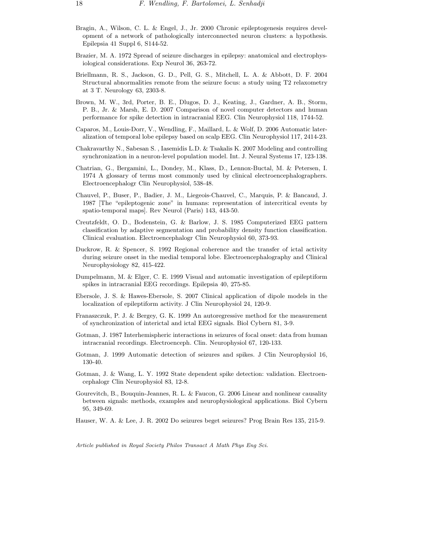- Bragin, A., Wilson, C. L. & Engel, J., Jr. 2000 Chronic epileptogenesis requires development of a network of pathologically interconnected neuron clusters: a hypothesis. Epilepsia 41 Suppl 6, S144-52.
- Brazier, M. A. 1972 Spread of seizure discharges in epilepsy: anatomical and electrophysiological considerations. Exp Neurol 36, 263-72.
- Briellmann, R. S., Jackson, G. D., Pell, G. S., Mitchell, L. A. & Abbott, D. F. 2004 Structural abnormalities remote from the seizure focus: a study using T2 relaxometry at 3 T. Neurology 63, 2303-8.
- Brown, M. W., 3rd, Porter, B. E., Dlugos, D. J., Keating, J., Gardner, A. B., Storm, P. B., Jr. & Marsh, E. D. 2007 Comparison of novel computer detectors and human performance for spike detection in intracranial EEG. Clin Neurophysiol 118, 1744-52.
- Caparos, M., Louis-Dorr, V., Wendling, F., Maillard, L. & Wolf, D. 2006 Automatic lateralization of temporal lobe epilepsy based on scalp EEG. Clin Neurophysiol 117, 2414-23.
- Chakravarthy N., Sabesan S. , Iasemidis L.D. & Tsakalis K. 2007 Modeling and controlling synchronization in a neuron-level population model. Int. J. Neural Systems 17, 123-138.
- Chatrian, G., Bergamini, L., Dondey, M., Klass, D., Lennox-Buctal, M. & Petersen, I. 1974 A glossary of terms most commonly used by clinical electroencephalographers. Electroencephalogr Clin Neurophysiol, 538-48.
- Chauvel, P., Buser, P., Badier, J. M., Liegeois-Chauvel, C., Marquis, P. & Bancaud, J. 1987 [The "epileptogenic zone" in humans: representation of intercritical events by spatio-temporal maps]. Rev Neurol (Paris) 143, 443-50.
- Creutzfeldt, O. D., Bodenstein, G. & Barlow, J. S. 1985 Computerized EEG pattern classification by adaptive segmentation and probability density function classification. Clinical evaluation. Electroencephalogr Clin Neurophysiol 60, 373-93.
- Duckrow, R. & Spencer, S. 1992 Regional coherence and the transfer of ictal activity during seizure onset in the medial temporal lobe. Electroencephalography and Clinical Neurophysiology 82, 415-422.
- Dumpelmann, M. & Elger, C. E. 1999 Visual and automatic investigation of epileptiform spikes in intracranial EEG recordings. Epilepsia 40, 275-85.
- Ebersole, J. S. & Hawes-Ebersole, S. 2007 Clinical application of dipole models in the localization of epileptiform activity. J Clin Neurophysiol 24, 120-9.
- Franaszczuk, P. J. & Bergey, G. K. 1999 An autoregressive method for the measurement of synchronization of interictal and ictal EEG signals. Biol Cybern 81, 3-9.
- Gotman, J. 1987 Interhemispheric interactions in seizures of focal onset: data from human intracranial recordings. Electroenceph. Clin. Neurophysiol 67, 120-133.
- Gotman, J. 1999 Automatic detection of seizures and spikes. J Clin Neurophysiol 16, 130-40.
- Gotman, J. & Wang, L. Y. 1992 State dependent spike detection: validation. Electroencephalogr Clin Neurophysiol 83, 12-8.
- Gourevitch, B., Bouquin-Jeannes, R. L. & Faucon, G. 2006 Linear and nonlinear causality between signals: methods, examples and neurophysiological applications. Biol Cybern 95, 349-69.
- Hauser, W. A. & Lee, J. R. 2002 Do seizures beget seizures? Prog Brain Res 135, 215-9.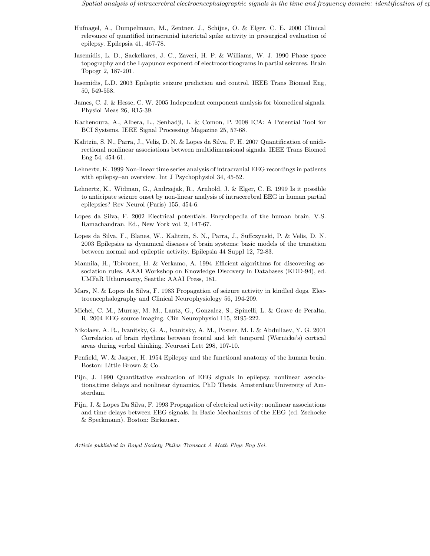- Hufnagel, A., Dumpelmann, M., Zentner, J., Schijns, O. & Elger, C. E. 2000 Clinical relevance of quantified intracranial interictal spike activity in presurgical evaluation of epilepsy. Epilepsia 41, 467-78.
- Iasemidis, L. D., Sackellares, J. C., Zaveri, H. P. & Williams, W. J. 1990 Phase space topography and the Lyapunov exponent of electrocorticograms in partial seizures. Brain Topogr 2, 187-201.
- Iasemidis, L.D. 2003 Epileptic seizure prediction and control. IEEE Trans Biomed Eng, 50, 549-558.
- James, C. J. & Hesse, C. W. 2005 Independent component analysis for biomedical signals. Physiol Meas 26, R15-39.
- Kachenoura, A., Albera, L., Senhadji, L. & Comon, P. 2008 ICA: A Potential Tool for BCI Systems. IEEE Signal Processing Magazine 25, 57-68.
- Kalitzin, S. N., Parra, J., Velis, D. N. & Lopes da Silva, F. H. 2007 Quantification of unidirectional nonlinear associations between multidimensional signals. IEEE Trans Biomed Eng 54, 454-61.
- Lehnertz, K. 1999 Non-linear time series analysis of intracranial EEG recordings in patients with epilepsy–an overview. Int J Psychophysiol 34, 45-52.
- Lehnertz, K., Widman, G., Andrzejak, R., Arnhold, J. & Elger, C. E. 1999 Is it possible to anticipate seizure onset by non-linear analysis of intracerebral EEG in human partial epilepsies? Rev Neurol (Paris) 155, 454-6.
- Lopes da Silva, F. 2002 Electrical potentials. Encyclopedia of the human brain, V.S. Ramachandran, Ed., New York vol. 2, 147-67.
- Lopes da Silva, F., Blanes, W., Kalitzin, S. N., Parra, J., Suffczynski, P. & Velis, D. N. 2003 Epilepsies as dynamical diseases of brain systems: basic models of the transition between normal and epileptic activity. Epilepsia 44 Suppl 12, 72-83.
- Mannila, H., Toivonen, H. & Verkamo, A. 1994 Efficient algorithms for discovering association rules. AAAI Workshop on Knowledge Discovery in Databases (KDD-94), ed. UMFaR Uthurusamy, Seattle: AAAI Press, 181.
- Mars, N. & Lopes da Silva, F. 1983 Propagation of seizure activity in kindled dogs. Electroencephalography and Clinical Neurophysiology 56, 194-209.
- Michel, C. M., Murray, M. M., Lantz, G., Gonzalez, S., Spinelli, L. & Grave de Peralta, R. 2004 EEG source imaging. Clin Neurophysiol 115, 2195-222.
- Nikolaev, A. R., Ivanitsky, G. A., Ivanitsky, A. M., Posner, M. I. & Abdullaev, Y. G. 2001 Correlation of brain rhythms between frontal and left temporal (Wernicke's) cortical areas during verbal thinking. Neurosci Lett 298, 107-10.
- Penfield, W. & Jasper, H. 1954 Epilepsy and the functional anatomy of the human brain. Boston: Little Brown & Co.
- Pijn, J. 1990 Quantitative evaluation of EEG signals in epilepsy, nonlinear associations,time delays and nonlinear dynamics, PhD Thesis. Amsterdam:University of Amsterdam.
- Pijn, J. & Lopes Da Silva, F. 1993 Propagation of electrical activity: nonlinear associations and time delays between EEG signals. In Basic Mechanisms of the EEG (ed. Zschocke & Speckmann). Boston: Birkauser.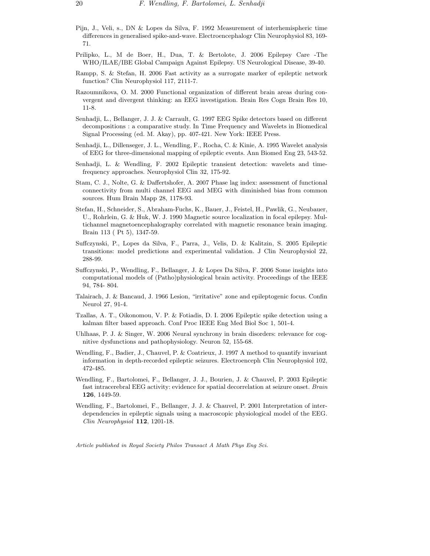- Pijn, J., Veli, s., DN & Lopes da Silva, F. 1992 Measurement of interhemispheric time differences in generalised spike-and-wave. Electroencephalogr Clin Neurophysiol 83, 169- 71.
- Prilipko, L., M de Boer, H., Dua, T. & Bertolote, J. 2006 Epilepsy Care -The WHO/ILAE/IBE Global Campaign Against Epilepsy. US Neurological Disease, 39-40.
- Rampp, S. & Stefan, H. 2006 Fast activity as a surrogate marker of epileptic network function? Clin Neurophysiol 117, 2111-7.
- Razoumnikova, O. M. 2000 Functional organization of different brain areas during convergent and divergent thinking: an EEG investigation. Brain Res Cogn Brain Res 10, 11-8.
- Senhadji, L., Bellanger, J. J. & Carrault, G. 1997 EEG Spike detectors based on different decompositions : a comparative study. In Time Frequency and Wavelets in Biomedical Signal Processing (ed. M. Akay), pp. 407-421. New York: IEEE Press.
- Senhadji, L., Dillenseger, J. L., Wendling, F., Rocha, C. & Kinie, A. 1995 Wavelet analysis of EEG for three-dimensional mapping of epileptic events. Ann Biomed Eng 23, 543-52.
- Senhadji, L. & Wendling, F. 2002 Epileptic transient detection: wavelets and timefrequency approaches. Neurophysiol Clin 32, 175-92.
- Stam, C. J., Nolte, G. & Daffertshofer, A. 2007 Phase lag index: assessment of functional connectivity from multi channel EEG and MEG with diminished bias from common sources. Hum Brain Mapp 28, 1178-93.
- Stefan, H., Schneider, S., Abraham-Fuchs, K., Bauer, J., Feistel, H., Pawlik, G., Neubauer, U., Rohrlein, G. & Huk, W. J. 1990 Magnetic source localization in focal epilepsy. Multichannel magnetoencephalography correlated with magnetic resonance brain imaging. Brain 113 ( Pt 5), 1347-59.
- Suffczynski, P., Lopes da Silva, F., Parra, J., Velis, D. & Kalitzin, S. 2005 Epileptic transitions: model predictions and experimental validation. J Clin Neurophysiol 22, 288-99.
- Suffczynski, P., Wendling, F., Bellanger, J. & Lopes Da Silva, F. 2006 Some insights into computational models of (Patho)physiological brain activity. Proceedings of the IEEE 94, 784- 804.
- Talairach, J. & Bancaud, J. 1966 Lesion, "irritative" zone and epileptogenic focus. Confin Neurol 27, 91-4.
- Tzallas, A. T., Oikonomou, V. P. & Fotiadis, D. I. 2006 Epileptic spike detection using a kalman filter based approach. Conf Proc IEEE Eng Med Biol Soc 1, 501-4.
- Uhlhaas, P. J. & Singer, W. 2006 Neural synchrony in brain disorders: relevance for cognitive dysfunctions and pathophysiology. Neuron 52, 155-68.
- Wendling, F., Badier, J., Chauvel, P. & Coatrieux, J. 1997 A method to quantify invariant information in depth-recorded epileptic seizures. Electroenceph Clin Neurophysiol 102, 472-485.
- Wendling, F., Bartolomei, F., Bellanger, J. J., Bourien, J. & Chauvel, P. 2003 Epileptic fast intracerebral EEG activity: evidence for spatial decorrelation at seizure onset. *Brain* **126**, 1449-59.
- Wendling, F., Bartolomei, F., Bellanger, J. J. & Chauvel, P. 2001 Interpretation of interdependencies in epileptic signals using a macroscopic physiological model of the EEG. *Clin Neurophysiol* **112**, 1201-18.